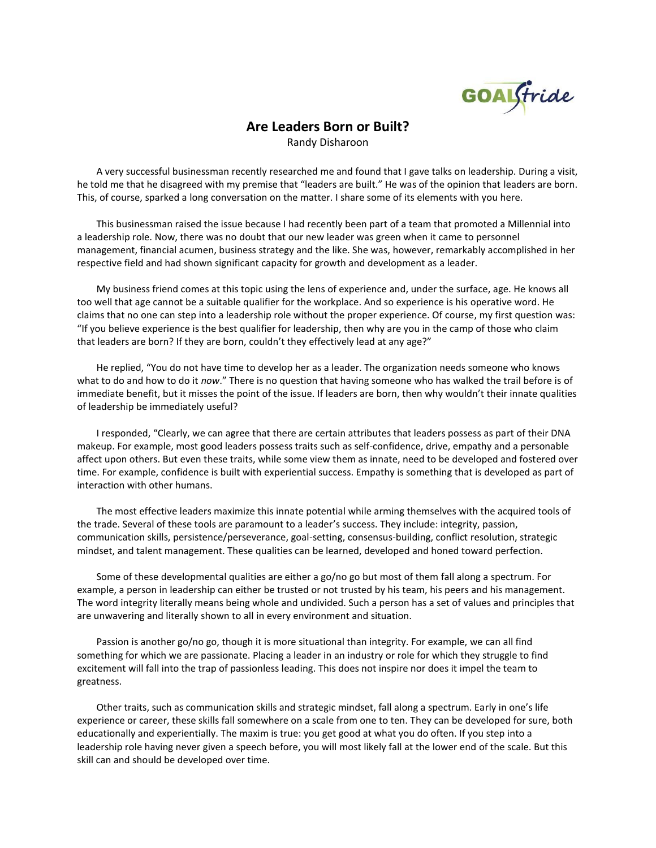GOALGtride

## **Are Leaders Born or Built?**

Randy Disharoon

A very successful businessman recently researched me and found that I gave talks on leadership. During a visit, he told me that he disagreed with my premise that "leaders are built." He was of the opinion that leaders are born. This, of course, sparked a long conversation on the matter. I share some of its elements with you here.

This businessman raised the issue because I had recently been part of a team that promoted a Millennial into a leadership role. Now, there was no doubt that our new leader was green when it came to personnel management, financial acumen, business strategy and the like. She was, however, remarkably accomplished in her respective field and had shown significant capacity for growth and development as a leader.

My business friend comes at this topic using the lens of experience and, under the surface, age. He knows all too well that age cannot be a suitable qualifier for the workplace. And so experience is his operative word. He claims that no one can step into a leadership role without the proper experience. Of course, my first question was: "If you believe experience is the best qualifier for leadership, then why are you in the camp of those who claim that leaders are born? If they are born, couldn't they effectively lead at any age?"

He replied, "You do not have time to develop her as a leader. The organization needs someone who knows what to do and how to do it *now*." There is no question that having someone who has walked the trail before is of immediate benefit, but it misses the point of the issue. If leaders are born, then why wouldn't their innate qualities of leadership be immediately useful?

I responded, "Clearly, we can agree that there are certain attributes that leaders possess as part of their DNA makeup. For example, most good leaders possess traits such as self-confidence, drive, empathy and a personable affect upon others. But even these traits, while some view them as innate, need to be developed and fostered over time. For example, confidence is built with experiential success. Empathy is something that is developed as part of interaction with other humans.

The most effective leaders maximize this innate potential while arming themselves with the acquired tools of the trade. Several of these tools are paramount to a leader's success. They include: integrity, passion, communication skills, persistence/perseverance, goal-setting, consensus-building, conflict resolution, strategic mindset, and talent management. These qualities can be learned, developed and honed toward perfection.

Some of these developmental qualities are either a go/no go but most of them fall along a spectrum. For example, a person in leadership can either be trusted or not trusted by his team, his peers and his management. The word integrity literally means being whole and undivided. Such a person has a set of values and principles that are unwavering and literally shown to all in every environment and situation.

Passion is another go/no go, though it is more situational than integrity. For example, we can all find something for which we are passionate. Placing a leader in an industry or role for which they struggle to find excitement will fall into the trap of passionless leading. This does not inspire nor does it impel the team to greatness.

Other traits, such as communication skills and strategic mindset, fall along a spectrum. Early in one's life experience or career, these skills fall somewhere on a scale from one to ten. They can be developed for sure, both educationally and experientially. The maxim is true: you get good at what you do often. If you step into a leadership role having never given a speech before, you will most likely fall at the lower end of the scale. But this skill can and should be developed over time.